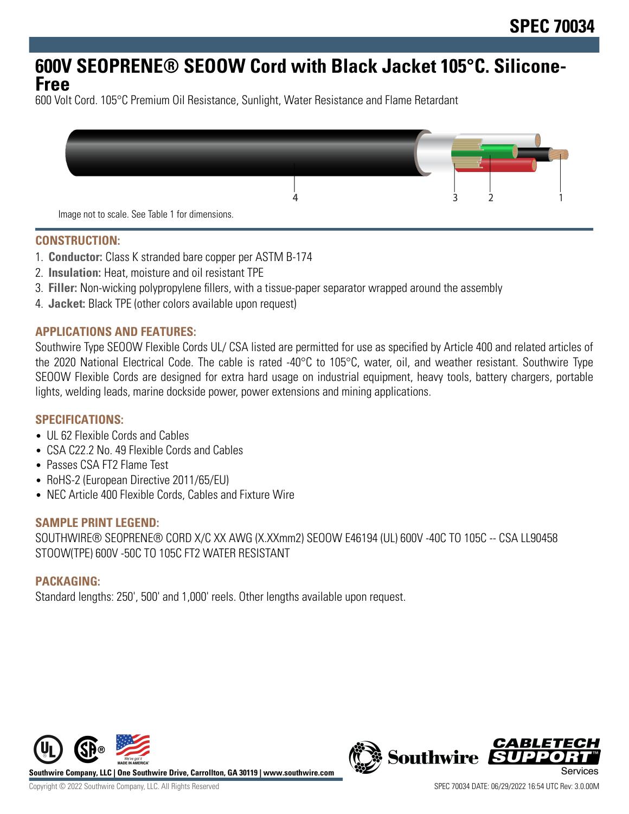# **600V SEOPRENE® SEOOW Cord with Black Jacket 105°C. Silicone-Free**

600 Volt Cord. 105°C Premium Oil Resistance, Sunlight, Water Resistance and Flame Retardant



**CONSTRUCTION:**

- 1. **Conductor:** Class K stranded bare copper per ASTM B-174
- 2. **Insulation:** Heat, moisture and oil resistant TPE
- 3. **Filler:** Non-wicking polypropylene fillers, with a tissue-paper separator wrapped around the assembly
- 4. **Jacket:** Black TPE (other colors available upon request)

#### **APPLICATIONS AND FEATURES:**

Southwire Type SEOOW Flexible Cords UL/ CSA listed are permitted for use as specified by Article 400 and related articles of the 2020 National Electrical Code. The cable is rated -40°C to 105°C, water, oil, and weather resistant. Southwire Type SEOOW Flexible Cords are designed for extra hard usage on industrial equipment, heavy tools, battery chargers, portable lights, welding leads, marine dockside power, power extensions and mining applications.

### **SPECIFICATIONS:**

- UL 62 Flexible Cords and Cables
- CSA C22.2 No. 49 Flexible Cords and Cables
- Passes CSA FT2 Flame Test
- RoHS-2 (European Directive 2011/65/EU)
- NEC Article 400 Flexible Cords, Cables and Fixture Wire

#### **SAMPLE PRINT LEGEND:**

SOUTHWIRE® SEOPRENE® CORD X/C XX AWG (X.XXmm2) SEOOW E46194 (UL) 600V -40C TO 105C -- CSA LL90458 STOOW(TPE) 600V -50C TO 105C FT2 WATER RESISTANT

### **PACKAGING:**

Standard lengths: 250', 500' and 1,000' reels. Other lengths available upon request.



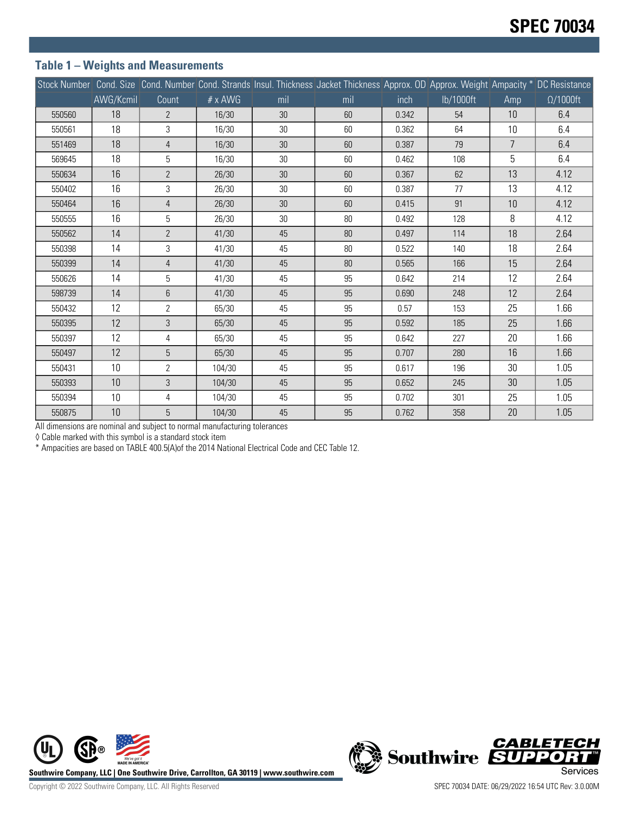#### **Table 1 – Weights and Measurements**

|        |           |                |                |     | Stock Number Cond. Size Cond. Number Cond. Strands Insul. Thickness Jacket Thickness Approx. OD Approx. Weight Ampacity * DC Resistance |       |           |                |                  |
|--------|-----------|----------------|----------------|-----|-----------------------------------------------------------------------------------------------------------------------------------------|-------|-----------|----------------|------------------|
|        | AWG/Kcmil | Count          | $# \times$ AWG | mil | mil                                                                                                                                     | inch  | lb/1000ft | Amp            | $\Omega/1000$ ft |
| 550560 | 18        | $\overline{2}$ | 16/30          | 30  | 60                                                                                                                                      | 0.342 | 54        | 10             | 6.4              |
| 550561 | 18        | 3              | 16/30          | 30  | 60                                                                                                                                      | 0.362 | 64        | 10             | 6.4              |
| 551469 | 18        | $\overline{4}$ | 16/30          | 30  | 60                                                                                                                                      | 0.387 | 79        | $\overline{7}$ | 6.4              |
| 569645 | 18        | 5              | 16/30          | 30  | 60                                                                                                                                      | 0.462 | 108       | 5              | 6.4              |
| 550634 | 16        | $\overline{2}$ | 26/30          | 30  | 60                                                                                                                                      | 0.367 | 62        | 13             | 4.12             |
| 550402 | 16        | 3              | 26/30          | 30  | 60                                                                                                                                      | 0.387 | 77        | 13             | 4.12             |
| 550464 | 16        | $\overline{4}$ | 26/30          | 30  | 60                                                                                                                                      | 0.415 | 91        | 10             | 4.12             |
| 550555 | 16        | 5              | 26/30          | 30  | 80                                                                                                                                      | 0.492 | 128       | 8              | 4.12             |
| 550562 | 14        | $\overline{2}$ | 41/30          | 45  | $80\,$                                                                                                                                  | 0.497 | 114       | 18             | 2.64             |
| 550398 | 14        | 3              | 41/30          | 45  | $80\,$                                                                                                                                  | 0.522 | 140       | 18             | 2.64             |
| 550399 | 14        | $\overline{4}$ | 41/30          | 45  | 80                                                                                                                                      | 0.565 | 166       | 15             | 2.64             |
| 550626 | 14        | 5              | 41/30          | 45  | 95                                                                                                                                      | 0.642 | 214       | 12             | 2.64             |
| 598739 | 14        | 6              | 41/30          | 45  | 95                                                                                                                                      | 0.690 | 248       | 12             | 2.64             |
| 550432 | 12        | $\overline{2}$ | 65/30          | 45  | 95                                                                                                                                      | 0.57  | 153       | 25             | 1.66             |
| 550395 | 12        | 3              | 65/30          | 45  | 95                                                                                                                                      | 0.592 | 185       | 25             | 1.66             |
| 550397 | 12        | $\overline{4}$ | 65/30          | 45  | 95                                                                                                                                      | 0.642 | 227       | 20             | 1.66             |
| 550497 | 12        | 5              | 65/30          | 45  | 95                                                                                                                                      | 0.707 | 280       | 16             | 1.66             |
| 550431 | 10        | $\overline{2}$ | 104/30         | 45  | 95                                                                                                                                      | 0.617 | 196       | 30             | 1.05             |
| 550393 | 10        | 3              | 104/30         | 45  | 95                                                                                                                                      | 0.652 | 245       | 30             | 1.05             |
| 550394 | 10        | 4              | 104/30         | 45  | 95                                                                                                                                      | 0.702 | 301       | 25             | 1.05             |
| 550875 | 10        | 5              | 104/30         | 45  | 95                                                                                                                                      | 0.762 | 358       | 20             | 1.05             |

All dimensions are nominal and subject to normal manufacturing tolerances

◊ Cable marked with this symbol is a standard stock item

\* Ampacities are based on TABLE 400.5(A)of the 2014 National Electrical Code and CEC Table 12.